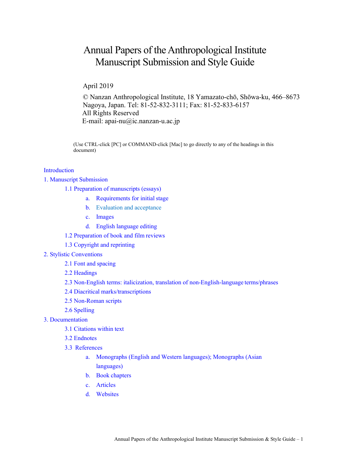# Annual Papers of the Anthropological Institute Manuscript Submission and Style Guide

April 2019

© Nanzan Anthropological Institute, 18 Yamazato-chō, Shōwa-ku, 466–8673 Nagoya, Japan. Tel: 81-52-832-3111; Fax: 81-52-833-6157 All Rights Reserved E-mail: apai-nu $(a)$ ic.nanzan-u.ac.jp

(Use CTRL-click [PC] or COMMAND-click [Mac] to go directly to any of the headings in this document)

# [Introduction](#page-1-0)

1. Manuscript [Submission](#page-1-1)

[1.1 Preparation of manuscripts \(](#page-1-2)essays)

- a. [Requirements for initial](#page-1-3) stage
- b. [Evaluation and](#page-2-0) acceptance
- c. [Images](#page-2-1)
- d. [English language](#page-3-0) editing
- 1.2 [Preparation of book and film](#page-3-1) reviews
- 1.3 [Copyright a](#page-4-0)nd reprinting
- 2. Stylistic [Conventions](#page-4-1)
	- 2.1 [Font a](#page-4-1)nd spacing
	- 2.2 [Headings](#page-4-1)
	- 2.3 [Non-English terms: italicization, translation of non-English-language](#page-4-2) terms/phrases
	- 2.4 Diacritical [marks/transcriptions](#page-4-3)
	- 2.5 [Non-Roman](#page-4-4) scripts
	- 2.6 [Spelling](#page-5-0)
- 3. [Documentation](#page-4-1)
	- 3.1 [Citations within](#page-5-1) text
	- 3.2 [Endnotes](#page-5-2)
	- 3.3 [References](#page-5-3)
		- a. [Monographs \(](#page-5-4)English and Western languages); [Monographs \(](#page-5-4)Asian languages)
		- b. Book [chapters](#page-6-0)
		- c. [Articles](#page-6-1)
		- d. [Websites](#page-6-2)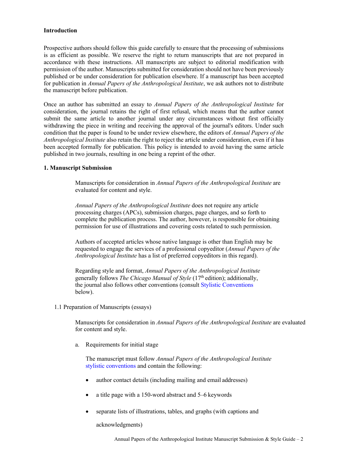# <span id="page-1-0"></span>**Introduction**

Prospective authors should follow this guide carefully to ensure that the processing of submissions is as efficient as possible. We reserve the right to return manuscripts that are not prepared in accordance with these instructions. All manuscripts are subject to editorial modification with permission of the author. Manuscripts submitted for consideration should not have been previously published or be under consideration for publication elsewhere. If a manuscript has been accepted for publication in *Annual Papers of the Anthropological Institute*, we ask authors not to distribute the manuscript before publication.

Once an author has submitted an essay to *Annual Papers of the Anthropological Institute* for consideration, the journal retains the right of first refusal, which means that the author cannot submit the same article to another journal under any circumstances without first officially withdrawing the piece in writing and receiving the approval of the journal's editors. Under such condition that the paper is found to be under review elsewhere, the editors of *Annual Papers of the Anthropological Institute* also retain the right to reject the article under consideration, even if it has been accepted formally for publication. This policy is intended to avoid having the same article published in two journals, resulting in one being a reprint of the other.

## <span id="page-1-1"></span>**1. Manuscript Submission**

Manuscripts for consideration in *Annual Papers of the Anthropological Institute* are evaluated for content and style.

*Annual Papers of the Anthropological Institute* does not require any article processing charges (APCs), submission charges, page charges, and so forth to complete the publication process. The author, however, is responsible for obtaining permission for use of illustrations and covering costs related to such permission.

Authors of accepted articles whose native language is other than English may be requested to engage the services of a professional copyeditor (*Annual Papers of the Anthropological Institute* has a list of preferred copyeditors in this regard).

Regarding style and format, *Annual Papers of the Anthropological Institute* generally follows *The Chicago Manual of Style* (17th edition); additionally, the journal also follows other conventions (consult [Stylistic Conventions](#page-4-1)  below).

## <span id="page-1-2"></span>1.1 Preparation of Manuscripts (essays)

Manuscripts for consideration in *Annual Papers of the Anthropological Institute* are evaluated for content and style.

<span id="page-1-3"></span>a. Requirements for initial stage

The manuscript must follow *Annual Papers of the Anthropological Institute* [stylistic conventions](#page-4-1) and contain the following:

- author contact details (including mailing and email addresses)
- a title page with a 150-word abstract and 5–6 keywords
- separate lists of illustrations, tables, and graphs (with captions and

acknowledgments)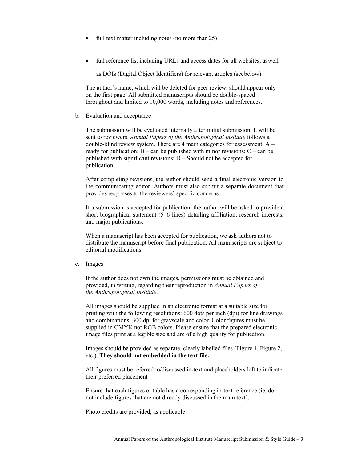- full text matter including notes (no more than 25)
- full reference list including URLs and access dates for all websites, aswell

as DOIs (Digital Object Identifiers) for relevant articles (seebelow)

The author's name, which will be deleted for peer review, should appear only on the first page. All submitted manuscripts should be double-spaced throughout and limited to 10,000 words, including notes and references.

<span id="page-2-0"></span>b. Evaluation and acceptance

The submission will be evaluated internally after initial submission. It will be sent to reviewers. *Annual Papers of the Anthropological Institute* follows a double-blind review system. There are 4 main categories for assessment: A – ready for publication;  $B - can$  be published with minor revisions;  $C - can$  be published with significant revisions; D – Should not be accepted for publication.

After completing revisions, the author should send a final electronic version to the communicating editor. Authors must also submit a separate document that provides responses to the reviewers' specific concerns.

If a submission is accepted for publication, the author will be asked to provide a short biographical statement (5–6 lines) detailing affiliation, research interests, and major publications.

When a manuscript has been accepted for publication, we ask authors not to distribute the manuscript before final publication. All manuscripts are subject to editorial modifications.

<span id="page-2-1"></span>c. Images

If the author does not own the images, permissions must be obtained and provided, in writing, regarding their reproduction in *Annual Papers of the Anthropological Institute*.

All images should be supplied in an electronic format at a suitable size for printing with the following resolutions: 600 dots per inch (dpi) for line drawings and combinations; 300 dpi for grayscale and color. Color figures must be supplied in CMYK not RGB colors. Please ensure that the prepared electronic image files print at a legible size and are of a high quality for publication.

Images should be provided as separate, clearly labelled files (Figure 1, Figure 2, etc.). **They should not embedded in the text file.**

All figures must be referred to/discussed in-text and placeholders left to indicate their preferred placement

Ensure that each figures or table has a corresponding in-text reference (ie, do not include figures that are not directly discussed in the main text).

Photo credits are provided, as applicable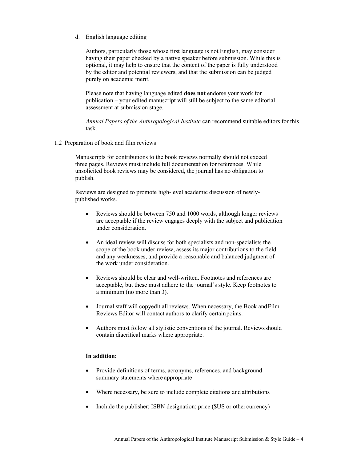<span id="page-3-0"></span>d. English language editing

Authors, particularly those whose first language is not English, may consider having their paper checked by a native speaker before submission. While this is optional, it may help to ensure that the content of the paper is fully understood by the editor and potential reviewers, and that the submission can be judged purely on academic merit.

Please note that having language edited **does not** endorse your work for publication – your edited manuscript will still be subject to the same editorial assessment at submission stage.

*Annual Papers of the Anthropological Institute* can recommend suitable editors for this task.

<span id="page-3-1"></span>1.2 Preparation of book and film reviews

Manuscripts for contributions to the book reviews normally should not exceed three pages. Reviews must include full documentation for references. While unsolicited book reviews may be considered, the journal has no obligation to publish.

Reviews are designed to promote high-level academic discussion of newlypublished works.

- Reviews should be between 750 and 1000 words, although longer reviews are acceptable if the review engages deeply with the subject and publication under consideration.
- An ideal review will discuss for both specialists and non-specialists the scope of the book under review, assess its major contributions to the field and any weaknesses, and provide a reasonable and balanced judgment of the work under consideration.
- Reviews should be clear and well-written. Footnotes and references are acceptable, but these must adhere to the journal's style. Keep footnotes to a minimum (no more than 3).
- Journal staff will copyedit all reviews. When necessary, the Book and Film Reviews Editor will contact authors to clarify certainpoints.
- Authors must follow all stylistic conventions of the journal. Reviewsshould contain diacritical marks where appropriate.

# **In addition:**

- Provide definitions of terms, acronyms, references, and background summary statements where appropriate
- Where necessary, be sure to include complete citations and attributions
- Include the publisher; ISBN designation; price (\$US or other currency)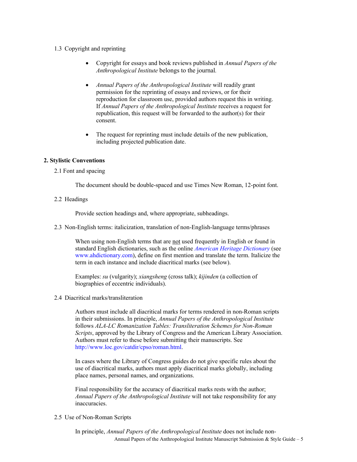# <span id="page-4-0"></span>1.3 Copyright and reprinting

- Copyright for essays and book reviews published in *Annual Papers of the Anthropological Institute* belongs to the journal*.*
- *Annual Papers of the Anthropological Institute* will readily grant permission for the reprinting of essays and reviews, or for their reproduction for classroom use, provided authors request this in writing. If *Annual Papers of the Anthropological Institute* receives a request for republication, this request will be forwarded to the author(s) for their consent.
- The request for reprinting must include details of the new publication, including projected publication date.

# <span id="page-4-1"></span>**2. Stylistic Conventions**

2.1 Font and spacing

The document should be double-spaced and use Times New Roman, 12-point font.

2.2 Headings

Provide section headings and, where appropriate, subheadings.

<span id="page-4-2"></span>2.3 Non-English terms: italicization, translation of non-English-language terms/phrases

When using non-English terms that are not used frequently in English or found in standard English dictionaries, such as the online *[American Heritage Dictionary](https://ahdictionary.com/)* (see [www.ahdictionary.com](http://www.ahdictionary.com/)), define on first mention and translate the term. Italicize the term in each instance and include diacritical marks (see below).

Examples: *su* (vulgarity); *xiangsheng* (cross talk); *kijinden* (a collection of biographies of eccentric individuals).

<span id="page-4-3"></span>2.4 Diacritical marks/transliteration

Authors must include all diacritical marks for terms rendered in non-Roman scripts in their submissions. In principle, *Annual Papers of the Anthropological Institute* follows *ALA-LC Romanization Tables: Transliteration Schemes for Non-Roman Scripts*, approved by the Library of Congress and the American Library Association. Authors must refer to these before submitting their manuscripts. See <http://www.loc.gov/catdir/cpso/roman.html>.

In cases where the Library of Congress guides do not give specific rules about the use of diacritical marks, authors must apply diacritical marks globally, including place names, personal names, and organizations.

Final responsibility for the accuracy of diacritical marks rests with the author; *Annual Papers of the Anthropological Institute* will not take responsibility for any inaccuracies.

<span id="page-4-4"></span>2.5 Use of Non-Roman Scripts

Annual Papers of the Anthropological Institute Manuscript Submission & Style Guide – 5 In principle, *Annual Papers of the Anthropological Institute* does not include non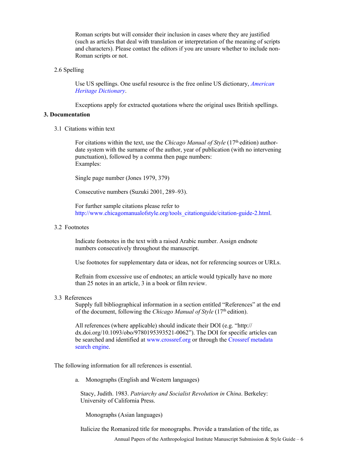Roman scripts but will consider their inclusion in cases where they are justified (such as articles that deal with translation or interpretation of the meaning of scripts and characters). Please contact the editors if you are unsure whether to include non-Roman scripts or not.

## <span id="page-5-0"></span>2.6 Spelling

Use US spellings. One useful resource is the free online US dictionary, *[American](https://ahdictionary.com/) [Heritage Dictionary](https://ahdictionary.com/)*.

Exceptions apply for extracted quotations where the original uses British spellings.

# <span id="page-5-1"></span>**3. Documentation**

3.1 Citations within text

For citations within the text, use the *Chicago Manual of Style* (17<sup>th</sup> edition) authordate system with the surname of the author, year of publication (with no intervening punctuation), followed by a comma then page numbers: Examples:

Single page number (Jones 1979, 379)

Consecutive numbers (Suzuki 2001, 289–93).

For further sample citations please refer to [http://www.chicagomanualofstyle.org/tools\\_citationguide/citation](http://www.chicagomanualofstyle.org/tools_citationguide/citation-guide-2.html)-guide-2.html.

## <span id="page-5-2"></span>3.2 Footnotes

Indicate footnotes in the text with a raised Arabic number. Assign endnote numbers consecutively throughout the manuscript.

Use footnotes for supplementary data or ideas, not for referencing sources or URLs.

Refrain from excessive use of endnotes; an article would typically have no more than 25 notes in an article, 3 in a book or film review.

<span id="page-5-3"></span>3.3 References

Supply full bibliographical information in a section entitled "References" at the end of the document, following the *Chicago Manual of Style* (17<sup>th</sup> edition).

All references (where applicable) should indicate their DOI (e.g. "http:// dx.doi.org/10.1093/obo/9780195393521-0062"). The DOI for specific articles can be searched and identified at [www.crossref.org](http://www.crossref.org/) or through th[e Crossref metadata](https://search.crossref.org/) [search engine.](https://search.crossref.org/)

<span id="page-5-4"></span>The following information for all references is essential.

a. Monographs (English and Western languages)

Stacy, Judith. 1983. *Patriarchy and Socialist Revolution in China*. Berkeley: University of California Press.

Monographs (Asian languages)

Italicize the Romanized title for monographs. Provide a translation of the title, as

Annual Papers of the Anthropological Institute Manuscript Submission & Style Guide – 6